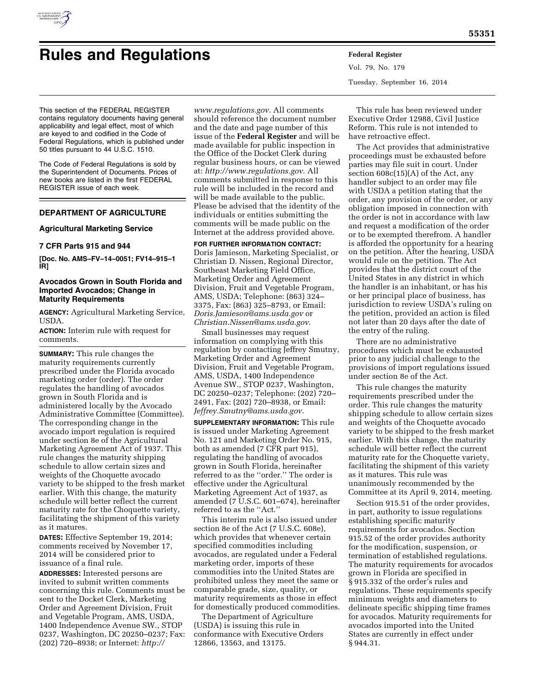

# **Rules and Regulations Federal Register**

Vol. 79, No. 179 Tuesday, September 16, 2014

This section of the FEDERAL REGISTER contains regulatory documents having general applicability and legal effect, most of which are keyed to and codified in the Code of Federal Regulations, which is published under 50 titles pursuant to 44 U.S.C. 1510.

The Code of Federal Regulations is sold by the Superintendent of Documents. Prices of new books are listed in the first FEDERAL REGISTER issue of each week.

# **DEPARTMENT OF AGRICULTURE**

## **Agricultural Marketing Service**

# **7 CFR Parts 915 and 944**

**[Doc. No. AMS–FV–14–0051; FV14–915–1 IR]** 

# **Avocados Grown in South Florida and Imported Avocados; Change in Maturity Requirements**

**AGENCY:** Agricultural Marketing Service, USDA.

**ACTION:** Interim rule with request for comments.

**SUMMARY:** This rule changes the maturity requirements currently prescribed under the Florida avocado marketing order (order). The order regulates the handling of avocados grown in South Florida and is administered locally by the Avocado Administrative Committee (Committee). The corresponding change in the avocado import regulation is required under section 8e of the Agricultural Marketing Agreement Act of 1937. This rule changes the maturity shipping schedule to allow certain sizes and weights of the Choquette avocado variety to be shipped to the fresh market earlier. With this change, the maturity schedule will better reflect the current maturity rate for the Choquette variety, facilitating the shipment of this variety as it matures.

**DATES:** Effective September 19, 2014; comments received by November 17, 2014 will be considered prior to issuance of a final rule.

**ADDRESSES:** Interested persons are invited to submit written comments concerning this rule. Comments must be sent to the Docket Clerk, Marketing Order and Agreement Division, Fruit and Vegetable Program, AMS, USDA, 1400 Independence Avenue SW., STOP 0237, Washington, DC 20250–0237; Fax: (202) 720–8938; or Internet: *[http://](http://www.regulations.gov)*

*[www.regulations.gov](http://www.regulations.gov)*. All comments should reference the document number and the date and page number of this issue of the **Federal Register** and will be made available for public inspection in the Office of the Docket Clerk during regular business hours, or can be viewed at: *<http://www.regulations.gov>*. All comments submitted in response to this rule will be included in the record and will be made available to the public. Please be advised that the identity of the individuals or entities submitting the comments will be made public on the Internet at the address provided above.

**FOR FURTHER INFORMATION CONTACT:**  Doris Jamieson, Marketing Specialist, or Christian D. Nissen, Regional Director, Southeast Marketing Field Office, Marketing Order and Agreement Division, Fruit and Vegetable Program, AMS, USDA; Telephone: (863) 324– 3375, Fax: (863) 325–8793, or Email: *[Doris.Jamieson@ams.usda.gov](mailto:Doris.Jamieson@ams.usda.gov)* or *[Christian.Nissen@ams.usda.gov](mailto:Christian.Nissen@ams.usda.gov)*.

Small businesses may request information on complying with this regulation by contacting Jeffrey Smutny, Marketing Order and Agreement Division, Fruit and Vegetable Program, AMS, USDA, 1400 Independence Avenue SW., STOP 0237, Washington, DC 20250–0237; Telephone: (202) 720– 2491, Fax: (202) 720–8938, or Email: *[Jeffrey.Smutny@ams.usda.gov](mailto:Jeffrey.Smutny@ams.usda.gov)*.

**SUPPLEMENTARY INFORMATION:** This rule is issued under Marketing Agreement No. 121 and Marketing Order No. 915, both as amended (7 CFR part 915), regulating the handling of avocados grown in South Florida, hereinafter referred to as the ''order.'' The order is effective under the Agricultural Marketing Agreement Act of 1937, as amended (7 U.S.C. 601-674), hereinafter referred to as the ''Act.''

This interim rule is also issued under section 8e of the Act (7 U.S.C. 608e), which provides that whenever certain specified commodities including avocados, are regulated under a Federal marketing order, imports of these commodities into the United States are prohibited unless they meet the same or comparable grade, size, quality, or maturity requirements as those in effect for domestically produced commodities.

The Department of Agriculture (USDA) is issuing this rule in conformance with Executive Orders 12866, 13563, and 13175.

This rule has been reviewed under Executive Order 12988, Civil Justice Reform. This rule is not intended to have retroactive effect.

The Act provides that administrative proceedings must be exhausted before parties may file suit in court. Under section 608c(15)(A) of the Act, any handler subject to an order may file with USDA a petition stating that the order, any provision of the order, or any obligation imposed in connection with the order is not in accordance with law and request a modification of the order or to be exempted therefrom. A handler is afforded the opportunity for a hearing on the petition. After the hearing, USDA would rule on the petition. The Act provides that the district court of the United States in any district in which the handler is an inhabitant, or has his or her principal place of business, has jurisdiction to review USDA's ruling on the petition, provided an action is filed not later than 20 days after the date of the entry of the ruling.

There are no administrative procedures which must be exhausted prior to any judicial challenge to the provisions of import regulations issued under section 8e of the Act.

This rule changes the maturity requirements prescribed under the order. This rule changes the maturity shipping schedule to allow certain sizes and weights of the Choquette avocado variety to be shipped to the fresh market earlier. With this change, the maturity schedule will better reflect the current maturity rate for the Choquette variety, facilitating the shipment of this variety as it matures. This rule was unanimously recommended by the Committee at its April 9, 2014, meeting.

Section 915.51 of the order provides, in part, authority to issue regulations establishing specific maturity requirements for avocados. Section 915.52 of the order provides authority for the modification, suspension, or termination of established regulations. The maturity requirements for avocados grown in Florida are specified in § 915.332 of the order's rules and regulations. These requirements specify minimum weights and diameters to delineate specific shipping time frames for avocados. Maturity requirements for avocados imported into the United States are currently in effect under § 944.31.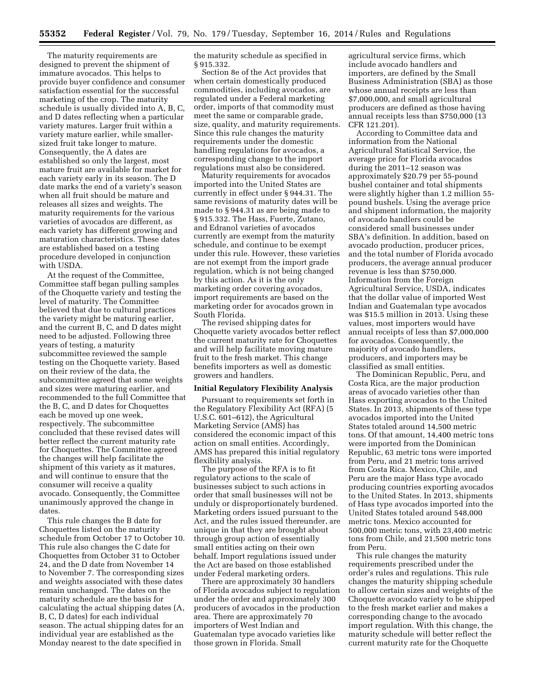The maturity requirements are designed to prevent the shipment of immature avocados. This helps to provide buyer confidence and consumer satisfaction essential for the successful marketing of the crop. The maturity schedule is usually divided into A, B, C, and D dates reflecting when a particular variety matures. Larger fruit within a variety mature earlier, while smallersized fruit take longer to mature. Consequently, the A dates are established so only the largest, most mature fruit are available for market for each variety early in its season. The D date marks the end of a variety's season when all fruit should be mature and releases all sizes and weights. The maturity requirements for the various varieties of avocados are different, as each variety has different growing and maturation characteristics. These dates are established based on a testing procedure developed in conjunction with USDA.

At the request of the Committee, Committee staff began pulling samples of the Choquette variety and testing the level of maturity. The Committee believed that due to cultural practices the variety might be maturing earlier, and the current B, C, and D dates might need to be adjusted. Following three years of testing, a maturity subcommittee reviewed the sample testing on the Choquette variety. Based on their review of the data, the subcommittee agreed that some weights and sizes were maturing earlier, and recommended to the full Committee that the B, C, and D dates for Choquettes each be moved up one week, respectively. The subcommittee concluded that these revised dates will better reflect the current maturity rate for Choquettes. The Committee agreed the changes will help facilitate the shipment of this variety as it matures, and will continue to ensure that the consumer will receive a quality avocado. Consequently, the Committee unanimously approved the change in dates.

This rule changes the B date for Choquettes listed on the maturity schedule from October 17 to October 10. This rule also changes the C date for Choquettes from October 31 to October 24, and the D date from November 14 to November 7. The corresponding sizes and weights associated with these dates remain unchanged. The dates on the maturity schedule are the basis for calculating the actual shipping dates (A, B, C, D dates) for each individual season. The actual shipping dates for an individual year are established as the Monday nearest to the date specified in

the maturity schedule as specified in § 915.332.

Section 8e of the Act provides that when certain domestically produced commodities, including avocados, are regulated under a Federal marketing order, imports of that commodity must meet the same or comparable grade, size, quality, and maturity requirements. Since this rule changes the maturity requirements under the domestic handling regulations for avocados, a corresponding change to the import regulations must also be considered.

Maturity requirements for avocados imported into the United States are currently in effect under § 944.31. The same revisions of maturity dates will be made to § 944.31 as are being made to § 915.332. The Hass, Fuerte, Zutano, and Edranol varieties of avocados currently are exempt from the maturity schedule, and continue to be exempt under this rule. However, these varieties are not exempt from the import grade regulation, which is not being changed by this action. As it is the only marketing order covering avocados, import requirements are based on the marketing order for avocados grown in South Florida.

The revised shipping dates for Choquette variety avocados better reflect the current maturity rate for Choquettes and will help facilitate moving mature fruit to the fresh market. This change benefits importers as well as domestic growers and handlers.

#### **Initial Regulatory Flexibility Analysis**

Pursuant to requirements set forth in the Regulatory Flexibility Act (RFA) (5 U.S.C. 601–612), the Agricultural Marketing Service (AMS) has considered the economic impact of this action on small entities. Accordingly, AMS has prepared this initial regulatory flexibility analysis.

The purpose of the RFA is to fit regulatory actions to the scale of businesses subject to such actions in order that small businesses will not be unduly or disproportionately burdened. Marketing orders issued pursuant to the Act, and the rules issued thereunder, are unique in that they are brought about through group action of essentially small entities acting on their own behalf. Import regulations issued under the Act are based on those established under Federal marketing orders.

There are approximately 30 handlers of Florida avocados subject to regulation under the order and approximately 300 producers of avocados in the production area. There are approximately 70 importers of West Indian and Guatemalan type avocado varieties like those grown in Florida. Small

agricultural service firms, which include avocado handlers and importers, are defined by the Small Business Administration (SBA) as those whose annual receipts are less than \$7,000,000, and small agricultural producers are defined as those having annual receipts less than \$750,000 (13 CFR 121.201).

According to Committee data and information from the National Agricultural Statistical Service, the average price for Florida avocados during the 2011–12 season was approximately \$20.79 per 55-pound bushel container and total shipments were slightly higher than 1.2 million 55 pound bushels. Using the average price and shipment information, the majority of avocado handlers could be considered small businesses under SBA's definition. In addition, based on avocado production, producer prices, and the total number of Florida avocado producers, the average annual producer revenue is less than \$750,000. Information from the Foreign Agricultural Service, USDA, indicates that the dollar value of imported West Indian and Guatemalan type avocados was \$15.5 million in 2013. Using these values, most importers would have annual receipts of less than \$7,000,000 for avocados. Consequently, the majority of avocado handlers, producers, and importers may be classified as small entities.

The Dominican Republic, Peru, and Costa Rica, are the major production areas of avocado varieties other than Hass exporting avocados to the United States. In 2013, shipments of these type avocados imported into the United States totaled around 14,500 metric tons. Of that amount, 14,400 metric tons were imported from the Dominican Republic, 63 metric tons were imported from Peru, and 21 metric tons arrived from Costa Rica. Mexico, Chile, and Peru are the major Hass type avocado producing countries exporting avocados to the United States. In 2013, shipments of Hass type avocados imported into the United States totaled around 548,000 metric tons. Mexico accounted for 500,000 metric tons, with 23,400 metric tons from Chile, and 21,500 metric tons from Peru.

This rule changes the maturity requirements prescribed under the order's rules and regulations. This rule changes the maturity shipping schedule to allow certain sizes and weights of the Choquette avocado variety to be shipped to the fresh market earlier and makes a corresponding change to the avocado import regulation. With this change, the maturity schedule will better reflect the current maturity rate for the Choquette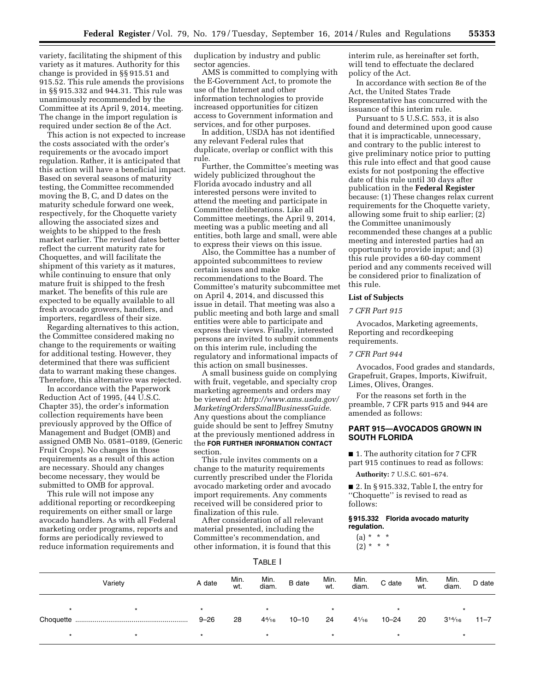variety, facilitating the shipment of this variety as it matures. Authority for this change is provided in §§ 915.51 and 915.52. This rule amends the provisions in §§ 915.332 and 944.31. This rule was unanimously recommended by the Committee at its April 9, 2014, meeting. The change in the import regulation is required under section 8e of the Act.

This action is not expected to increase the costs associated with the order's requirements or the avocado import regulation. Rather, it is anticipated that this action will have a beneficial impact. Based on several seasons of maturity testing, the Committee recommended moving the B, C, and D dates on the maturity schedule forward one week, respectively, for the Choquette variety allowing the associated sizes and weights to be shipped to the fresh market earlier. The revised dates better reflect the current maturity rate for Choquettes, and will facilitate the shipment of this variety as it matures, while continuing to ensure that only mature fruit is shipped to the fresh market. The benefits of this rule are expected to be equally available to all fresh avocado growers, handlers, and importers, regardless of their size.

Regarding alternatives to this action, the Committee considered making no change to the requirements or waiting for additional testing. However, they determined that there was sufficient data to warrant making these changes. Therefore, this alternative was rejected.

In accordance with the Paperwork Reduction Act of 1995, (44 U.S.C. Chapter 35), the order's information collection requirements have been previously approved by the Office of Management and Budget (OMB) and assigned OMB No. 0581–0189, (Generic Fruit Crops). No changes in those requirements as a result of this action are necessary. Should any changes become necessary, they would be submitted to OMB for approval.

This rule will not impose any additional reporting or recordkeeping requirements on either small or large avocado handlers. As with all Federal marketing order programs, reports and forms are periodically reviewed to reduce information requirements and

duplication by industry and public sector agencies.

AMS is committed to complying with the E-Government Act, to promote the use of the Internet and other information technologies to provide increased opportunities for citizen access to Government information and services, and for other purposes.

In addition, USDA has not identified any relevant Federal rules that duplicate, overlap or conflict with this rule.

Further, the Committee's meeting was widely publicized throughout the Florida avocado industry and all interested persons were invited to attend the meeting and participate in Committee deliberations. Like all Committee meetings, the April 9, 2014, meeting was a public meeting and all entities, both large and small, were able to express their views on this issue.

Also, the Committee has a number of appointed subcommittees to review certain issues and make recommendations to the Board. The Committee's maturity subcommittee met on April 4, 2014, and discussed this issue in detail. That meeting was also a public meeting and both large and small entities were able to participate and express their views. Finally, interested persons are invited to submit comments on this interim rule, including the regulatory and informational impacts of this action on small businesses.

A small business guide on complying with fruit, vegetable, and specialty crop marketing agreements and orders may be viewed at: *[http://www.ams.usda.gov/](http://www.ams.usda.gov/MarketingOrdersSmallBusinessGuide) [MarketingOrdersSmallBusinessGuide](http://www.ams.usda.gov/MarketingOrdersSmallBusinessGuide)*. Any questions about the compliance guide should be sent to Jeffrey Smutny at the previously mentioned address in the **FOR FURTHER INFORMATION CONTACT** section.

This rule invites comments on a change to the maturity requirements currently prescribed under the Florida avocado marketing order and avocado import requirements. Any comments received will be considered prior to finalization of this rule.

After consideration of all relevant material presented, including the Committee's recommendation, and other information, it is found that this interim rule, as hereinafter set forth, will tend to effectuate the declared policy of the Act.

In accordance with section 8e of the Act, the United States Trade Representative has concurred with the issuance of this interim rule.

Pursuant to 5 U.S.C. 553, it is also found and determined upon good cause that it is impracticable, unnecessary, and contrary to the public interest to give preliminary notice prior to putting this rule into effect and that good cause exists for not postponing the effective date of this rule until 30 days after publication in the **Federal Register**  because: (1) These changes relax current requirements for the Choquette variety, allowing some fruit to ship earlier; (2) the Committee unanimously recommended these changes at a public meeting and interested parties had an opportunity to provide input; and (3) this rule provides a 60-day comment period and any comments received will be considered prior to finalization of this rule.

# **List of Subjects**

## *7 CFR Part 915*

Avocados, Marketing agreements, Reporting and recordkeeping requirements.

# *7 CFR Part 944*

Avocados, Food grades and standards, Grapefruit, Grapes, Imports, Kiwifruit, Limes, Olives, Oranges.

For the reasons set forth in the preamble, 7 CFR parts 915 and 944 are amended as follows:

# **PART 915—AVOCADOS GROWN IN SOUTH FLORIDA**

■ 1. The authority citation for 7 CFR part 915 continues to read as follows:

**Authority:** 7 U.S.C. 601–674.

■ 2. In § 915.332, Table I, the entry for ''Choquette'' is revised to read as follows:

**§ 915.332 Florida avocado maturity regulation.** 

 $(a) * * * *$ 

 $(2) * * * *$ 

| ÷<br>. .<br>., |
|----------------|
|----------------|

| Variety |         | A date              | Min.<br>wt. | Min.<br>diam.              | <b>B</b> date | Min.<br>wt.   | Min.<br>diam.   | C date               | Min.<br>wt. | Min.<br>diam.  | D date   |
|---------|---------|---------------------|-------------|----------------------------|---------------|---------------|-----------------|----------------------|-------------|----------------|----------|
| ÷       | $\star$ | $\star$<br>$9 - 26$ | 28          | $\star$<br>$4\frac{4}{16}$ | $10 - 10$     | $\star$<br>24 | $4\frac{1}{16}$ | $\star$<br>$10 - 24$ | 20          | $3^{14}/_{16}$ | $11 - 7$ |
| $\star$ |         | $\star$             |             | $\star$                    |               | $\star$       |                 | $\star$              |             |                |          |